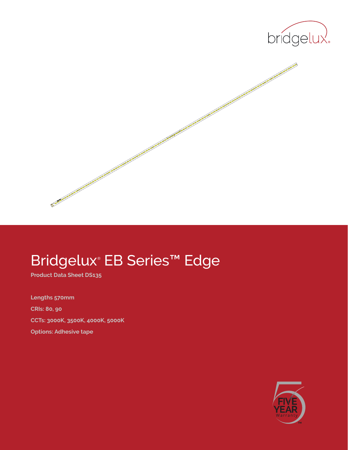



# Bridgelux® EB Series™ Edge

**Product Data Sheet DS135**

**Lengths 570mm CRIs: 80, 90 CCTs: 3000K, 3500K, 4000K, 5000K Options: Adhesive tape**

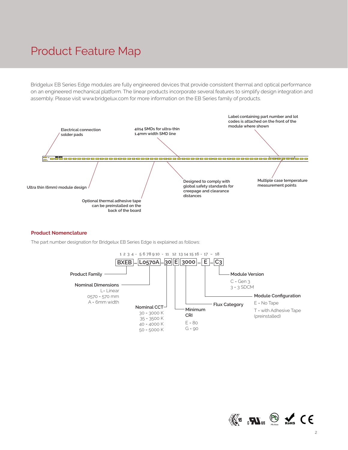### Product Feature Map

Bridgelux EB Series Edge modules are fully engineered devices that provide consistent thermal and optical performance on an engineered mechanical platform. The linear products incorporate several features to simplify design integration and assembly. Please visit www.bridgelux.com for more information on the EB Series family of products.



#### **Product Nomenclature**

The part number designation for Bridgelux EB Series Edge is explained as follows:



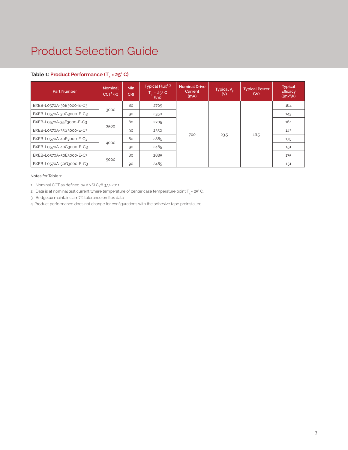### Product Selection Guide

### **Table 1: Product Performance (Tc = 25° C)**

| <b>Part Number</b>       | <b>Nominal</b><br>$CCT1$ (K) | Min<br>CRI. | Typical Flux <sup>2,3</sup><br>$T_c = 25^{\circ}$ C<br>(lm) | <b>Nominal Drive</b><br>Current<br>(mA) | Typical $V_{\epsilon}$<br>(V) | <b>Typical Power</b><br>(W) | <b>Typical</b><br>Efficacy<br>$\frac{1}{2}$ |
|--------------------------|------------------------------|-------------|-------------------------------------------------------------|-----------------------------------------|-------------------------------|-----------------------------|---------------------------------------------|
| BXEB-L0570A-30E3000-E-C3 |                              | 80          | 2705                                                        |                                         |                               |                             | 164                                         |
| BXEB-L0570A-30G3000-E-C3 | 3000                         | 90          | 2350                                                        | 700                                     | 23.5                          | 16.5                        | 143                                         |
| BXEB-L0570A-35E3000-E-C3 | 3500                         | 80          | 2705                                                        |                                         |                               |                             | 164                                         |
| BXEB-L0570A-35G3000-E-C3 |                              | 90          | 2350                                                        |                                         |                               |                             | 143                                         |
| BXEB-L0570A-40E3000-E-C3 | 4000                         | 80          | 2885                                                        |                                         |                               |                             | 175                                         |
| BXEB-L0570A-40G3000-E-C3 |                              | 90          | 2485                                                        |                                         |                               |                             | 151                                         |
| BXEB-L0570A-50E3000-E-C3 |                              | 80          | 2885                                                        |                                         |                               |                             | 175                                         |
| BXEB-L0570A-50G3000-E-C3 | 5000                         | 90          | 2485                                                        |                                         |                               |                             | 151                                         |

Notes for Table 1:

1. Nominal CCT as defined by ANSI C78.377-2011.

2. Data is at nominal test current where temperature of center case temperature point  $T_c$ = 25° C.

3. Bridgelux maintains a ± 7% tolerance on flux data.

4. Product performance does not change for configurations with the adhesive tape preinstalled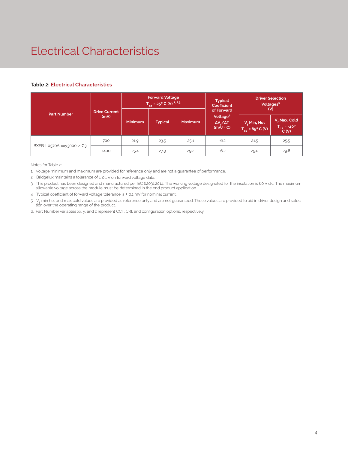## Electrical Characteristics

#### **Table 2: Electrical Characteristics**

| <b>Part Number</b>       |                              | <b>Forward Voltage</b><br>$T_{c2}$ = 25° C (V) <sup>1,2,3</sup> |                |                | <b>Typical</b><br><b>Coefficient</b>                                    | <b>Driver Selection</b><br>Voltages <sup>5</sup><br>(V) |                                                 |
|--------------------------|------------------------------|-----------------------------------------------------------------|----------------|----------------|-------------------------------------------------------------------------|---------------------------------------------------------|-------------------------------------------------|
|                          | <b>Drive Current</b><br>(mA) | <b>Minimum</b>                                                  | <b>Typical</b> | <b>Maximum</b> | of Forward<br>Voltage <sup>4</sup><br>$\Delta V_{s}/\Delta T$<br>(mV/C) | V, Min, Hot<br>$T_{c2} = 85^{\circ}$ C (V)              | V, Max, Cold<br>$T_{c2} = -40^{\circ}$<br>C (V) |
| BXEB-L0570A-xxy3000-z-C3 | 700                          | 21.9                                                            | 23.5           | 25.1           | $-6.2$                                                                  | 21.5                                                    | 25.5                                            |
|                          | 1400                         | 25.4                                                            | 27.3           | 29.2           | $-6.2$                                                                  | 25.0                                                    | 29.6                                            |

Notes for Table 2:

1. Voltage minimum and maximum are provided for reference only and are not a guarantee of performance.

2. Bridgelux maintains a tolerance of ± 0.1 V on forward voltage data.

3. This product has been designed and manufactured per IEC 62031:2014. The working voltage designated for the insulation is 60 V d.c. The maximum allowable voltage across the module must be determined in the end product application.

4. Typical coefficient of forward voltage tolerance is  $\pm$  0.1 mV for nominal current.

5. V<sub>f</sub> min hot and max cold values are provided as reference only and are not guaranteed. These values are provided to aid in driver design and selection over the operating range of the product.

6. Part Number variables xx, y, and z represent CCT, CRI, and configuration options, respectively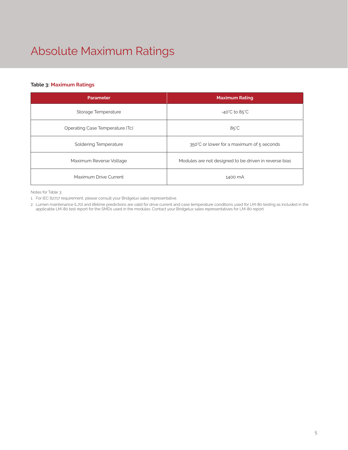# Absolute Maximum Ratings

#### **Table 3: Maximum Ratings**

| <b>Parameter</b>                | <b>Maximum Rating</b>                                 |  |
|---------------------------------|-------------------------------------------------------|--|
| Storage Temperature             | $-40^{\circ}$ C to 85 $^{\circ}$ C                    |  |
| Operating Case Temperature (Tc) | $85^{\circ}$ C                                        |  |
| Soldering Temperature           | 350°C or lower for a maximum of 5 seconds             |  |
| Maximum Reverse Voltage         | Modules are not designed to be driven in reverse bias |  |
| Maximum Drive Current           | 1400 mA                                               |  |

Notes for Table 3:

1. For IEC 62717 requirement, please consult your Bridgelux sales representative.

2. Lumen maintenance (L70) and lifetime predictions are valid for drive current and case temperature conditions used for LM-80 testing as included in the applicable LM-80 test report for the SMDs used in the modules. Contact your Bridgelux sales representatives for LM-80 report.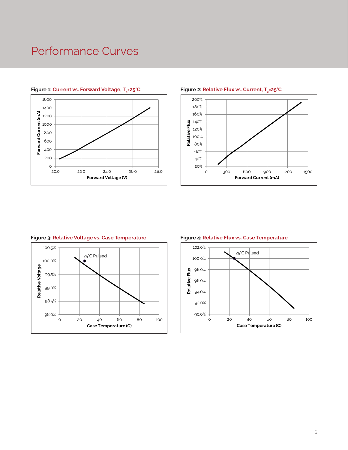### Performance Curves



#### Figure 1: Current vs. Forward Voltage, T<sub>2</sub>=25°C



#### **Example 2: Relative Flux vs. Current, T<sub>c</sub>=25°C Figure 2: Relative Flux vs. Current, T**



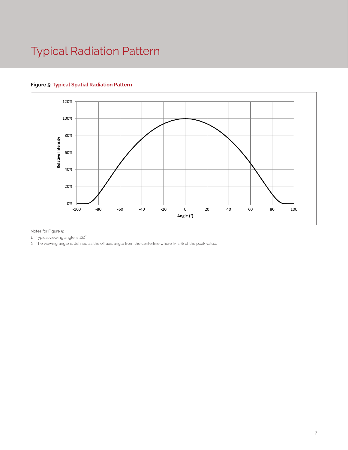## Typical Radiation Pattern

#### **Figure 5: Typical Spatial Radiation Pattern**



Notes for Figure 5:

1. Typical viewing angle is 120°. .

2. The viewing angle is defined as the off axis angle from the centerline where Iv is 1/2 of the peak value.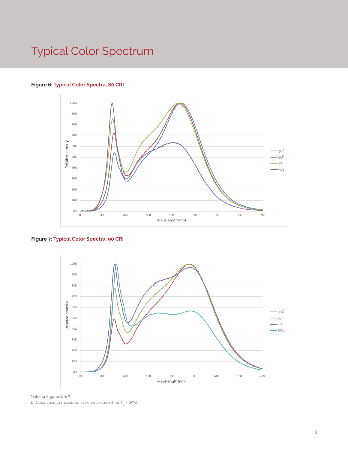### Typical Color Spectrum

#### **Figure 6: Typical Color Spectra, 80 CRI**



**Figure 7: Typical Color Spectra, 90 CRI**



Note for Figures 6 & 7:

1. Color spectra measured at nominal current for T $_{\rm c}$  = 65°C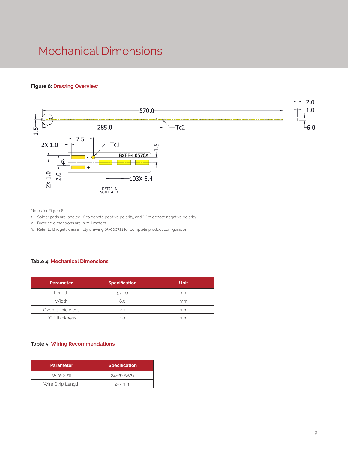### Mechanical Dimensions

#### **Figure 8: Drawing Overview**



Notes for Figure 8:

- 1. Solder pads are labeled "+" to denote positive polarity, and "-" to denote negative polarity.
- 2. Drawing dimensions are in millimeters.
- 3. Refer to Bridgelux assembly drawing 15-000721 for complete product configuration

#### **Table 4: Mechanical Dimensions**

| <b>Parameter</b>     | <b>Specification</b> | <b>Unit</b> |
|----------------------|----------------------|-------------|
| Length               | 570.0                | mm          |
| Width                | 6.0                  | mm          |
| Overall Thickness    | 2.0                  | mm          |
| <b>PCB</b> thickness | 1.0                  | mm          |

#### **Table 5: Wiring Recommendations**

| <b>Parameter</b>  | <b>Specification</b> |  |
|-------------------|----------------------|--|
| Wire Size         | 24-26 AWG            |  |
| Wire Strip Length | $2-3$ mm             |  |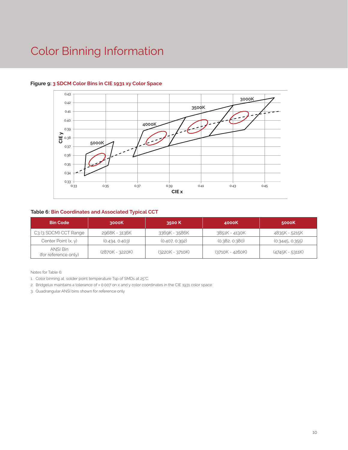### Color Binning Information



#### **Figure 9: 3 SDCM Color Bins in CIE 1931 xy Color Space**

#### **Table 6: Bin Coordinates and Associated Typical CCT**

| <b>Bin Code</b>                  | 3000K           | 3500 K            | 4000K             | 5000K             |
|----------------------------------|-----------------|-------------------|-------------------|-------------------|
| C3 (3 SDCM) CCT Range            | 2968K - 3136K   | 3369K - 3586K     | 3851K - 4130K     | 4835K - 5215K     |
| Center Point $(x, y)$            | (0.434, 0.403)  | (0.407, 0.392)    | (0.382, 0.380)    | (0.3445, 0.355)   |
| ANSI Bin<br>(for reference only) | (2870K - 3220K) | $(3220K - 3710K)$ | $(3710K - 4260K)$ | $(4745K - 5311K)$ |

Notes for Table 6:

1. Color binning at solder point temperature Tsp of SMDs at 25°C.

2. Bridgelux maintains a tolerance of ± 0.007 on x and y color coordinates in the CIE 1931 color space.

3. Quadrangular ANSI bins shown for reference only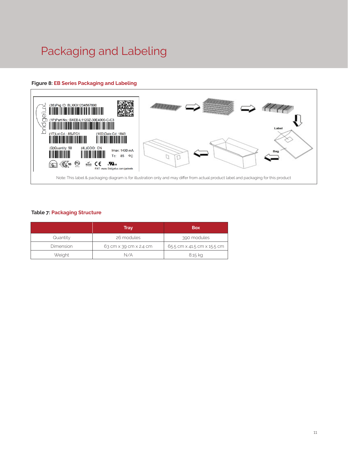# Packaging and Labeling

#### **Figure 8: EB Series Packaging and Labeling**



#### **Table 7: Packaging Structure**

|           | Tray                   | <b>Box</b>                  |
|-----------|------------------------|-----------------------------|
| Quantity  | 26 modules             | 390 modules                 |
| Dimension | 63 cm x 39 cm x 2.4 cm | 65.5 cm x 41.5 cm x 15.5 cm |
| Weight    | N/A                    | 8.15 kg                     |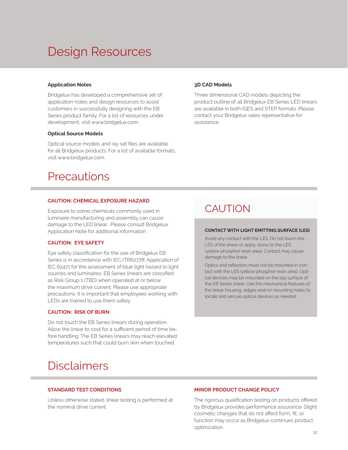### Design Resources

#### **Application Notes**

Bridgelux has developed a comprehensive set of application notes and design resources to assist customers in successfully designing with the EB Series product family. For a list of resources under development, visit www.bridgelux.com.

#### **Optical Source Models**

Optical source models and ray set files are available for all Bridgelux products. For a list of available formats, visit www.bridgelux.com.

### **Precautions**

#### **CAUTION: CHEMICAL EXPOSURE HAZARD**

Exposure to some chemicals commonly used in luminaire manufacturing and assembly can cause damage to the LED linear. Please consult Bridgelux Application Note for additional information.

#### **CAUTION: EYE SAFETY**

Eye safety classification for the use of Bridgelux EB Series is in accordance with IEC/TR62778: Application of IEC 62471 for the assessment of blue light hazard to light sources and luminaires. EB Series linears are classified as Risk Group 1 (TBD) when operated at or below the maximum drive current. Please use appropriate precautions. It is important that employees working with LEDs are trained to use them safely.

#### **CAUTION: RISK OF BURN**

Do not touch the EB Series linears during operation. Allow the linear to cool for a sufficient period of time before handling. The EB Series linears may reach elevated temperatures such that could burn skin when touched.

### **Disclaimers**

#### **STANDARD TEST CONDITIONS**

Unless otherwise stated, linear testing is performed at the nominal drive current.

#### **3D CAD Models**

Three dimensional CAD models depicting the product outline of all Bridgelux EB Series LED linears are available in both IGES and STEP formats. Please contact your Bridgelux sales representative for assistance.

### CAUTION

#### **CONTACT WITH LIGHT EMITTING SURFACE (LES)**

Avoid any contact with the LES. Do not touch the LES of the linear or apply stress to the LES (yellow phosphor resin area). Contact may cause damage to the linear.

Optics and reflectors must not be mounted in contact with the LES (yellow phosphor resin area). Optical devices may be mounted on the top surface of the EB Series linear. Use the mechanical features of the linear housing, edges and/or mounting holes to locate and secure optical devices as needed.

#### **MINOR PRODUCT CHANGE POLICY**

The rigorous qualification testing on products offered by Bridgelux provides performance assurance. Slight cosmetic changes that do not affect form, fit, or function may occur as Bridgelux continues product optimization.